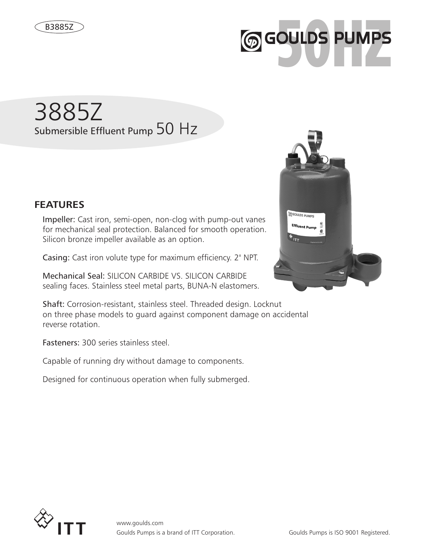

# 3885Z Submersible Effluent Pump 50 Hz



Impeller: Cast iron, semi-open, non-clog with pump-out vanes for mechanical seal protection. Balanced for smooth operation. Silicon bronze impeller available as an option.

Casing: Cast iron volute type for maximum efficiency. 2" NPT.

Mechanical Seal: SILICON CARBIDE VS. SILICON CARBIDE sealing faces. Stainless steel metal parts, BUNA-N elastomers.

Shaft: Corrosion-resistant, stainless steel. Threaded design. Locknut on three phase models to guard against component damage on accidental reverse rotation.

Fasteners: 300 series stainless steel.

Capable of running dry without damage to components.

Designed for continuous operation when fully submerged.



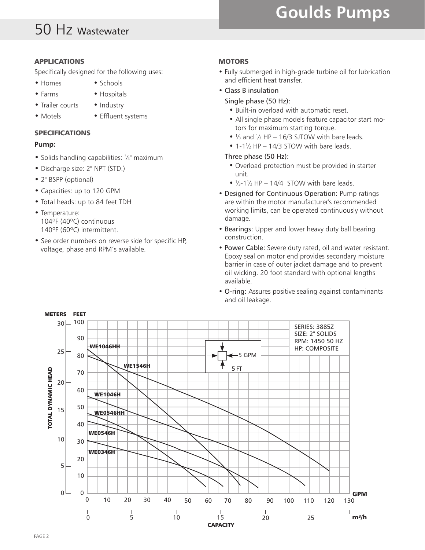# 50 Hz Wastewater

# **Goulds Pumps**

#### APPLICATIONS

Specifically designed for the following uses:

- Homes Schools
- Farms Hospitals
- Trailer courts Industry
- 
- 
- Motels Effluent systems

## SPECIFICATIONS

## **Pump:**

- Solids handling capabilities:  $\frac{3}{4}$ " maximum
- Discharge size: 2" NPT (STD.)
- 2" BSPP (optional)
- Capacities: up to 120 GPM
- Total heads: up to 84 feet TDH
- Temperature: 104ºF (40ºC) continuous 140ºF (60ºC) intermittent.
- See order numbers on reverse side for specific HP, voltage, phase and RPM's available.

## **MOTORS**

- Fully submerged in high-grade turbine oil for lubrication and efficient heat transfer.
- Class B insulation
	- Single phase (50 Hz):
		- Built-in overload with automatic reset.
		- All single phase models feature capacitor start motors for maximum starting torque.
		- $\frac{1}{3}$  and  $\frac{1}{2}$  HP 16/3 SJTOW with bare leads.
		- $\bullet$  1-1 $\frac{1}{2}$  HP 14/3 STOW with bare leads.

#### Three phase (50 Hz):

- Overload protection must be provided in starter unit.
- $\bullet$  <sup>1</sup>/<sub>3</sub>-1<sup>1</sup>/<sub>2</sub> HP 14/4 STOW with bare leads.
- Designed for Continuous Operation: Pump ratings are within the motor manufacturer's recommended working limits, can be operated continuously without damage.
- Bearings: Upper and lower heavy duty ball bearing construction.
- Power Cable: Severe duty rated, oil and water resistant. Epoxy seal on motor end provides secondary moisture barrier in case of outer jacket damage and to prevent oil wicking. 20 foot standard with optional lengths available.
- O-ring: Assures positive sealing against contaminants and oil leakage.

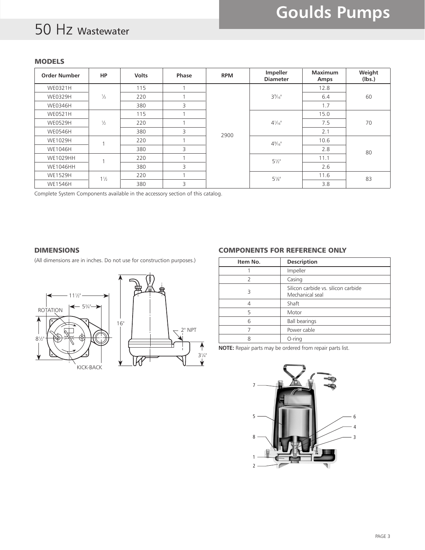## 50 Hz Wastewater

#### MODELS

| <b>Order Number</b> | <b>HP</b>      | <b>Volts</b> | Phase | <b>RPM</b> | Impeller<br><b>Diameter</b> | <b>Maximum</b><br>Amps | Weight<br>(lbs.) |
|---------------------|----------------|--------------|-------|------------|-----------------------------|------------------------|------------------|
| WE0321H             |                | 115          |       |            |                             | 12.8                   |                  |
| WE0329H             | $\frac{1}{3}$  | 220          |       |            | $3\%$ <sup>"</sup>          | 6.4                    | 60               |
| <b>WE0346H</b>      |                | 380          | 3     | 2900       |                             | 1.7                    |                  |
| <b>WE0521H</b>      | $\frac{1}{2}$  | 115          |       |            | $4\frac{1}{16}$             | 15.0                   | 70               |
| <b>WE0529H</b>      |                | 220          |       |            |                             | 7.5                    |                  |
| <b>WE0546H</b>      |                | 380          | 3     |            |                             | 2.1                    |                  |
| WE1029H             |                | 220          |       |            | $4\frac{9}{16}$             | 10.6                   | 80               |
| <b>WE1046H</b>      |                | 380          | 3     |            |                             | 2.8                    |                  |
| <b>WE1029HH</b>     |                | 220          |       |            | $5\frac{1}{2}$              | 11.1                   |                  |
| <b>WE1046HH</b>     |                | 380          | 3     |            |                             | 2.6                    |                  |
| <b>WE1529H</b>      | $1\frac{1}{2}$ | 220          |       |            | $5\frac{1}{8}$              | 11.6                   | 83               |
| <b>WE1546H</b>      |                | 380          | 3     |            |                             | 3.8                    |                  |

Complete System Components available in the accessory section of this catalog.

#### DIMENSIONS

(All dimensions are in inches. Do not use for construction purposes.)



#### COMPONENTS FOR REFERENCE ONLY

| Item No. | <b>Description</b>                                     |  |  |
|----------|--------------------------------------------------------|--|--|
|          | Impeller                                               |  |  |
|          | Casing                                                 |  |  |
| ξ        | Silicon carbide vs. silicon carbide<br>Mechanical seal |  |  |
|          | Shaft                                                  |  |  |
| 5        | Motor                                                  |  |  |
| 6        | <b>Ball bearings</b>                                   |  |  |
|          | Power cable                                            |  |  |
|          | $O$ -ring                                              |  |  |

**NOTE:** Repair parts may be ordered from repair parts list.